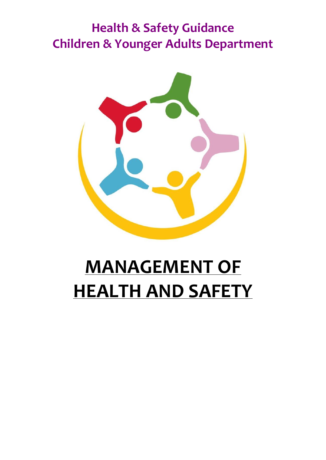## **Health & Safety Guidance Children & Younger Adults Department**



# **MANAGEMENT OF HEALTH AND SAFETY**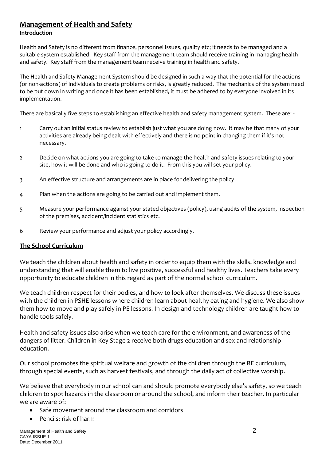#### **Management of Health and Safety Introduction**

Health and Safety is no different from finance, personnel issues, quality etc; it needs to be managed and a suitable system established. Key staff from the management team should receive training in managing health and safety. Key staff from the management team receive training in health and safety.

The Health and Safety Management System should be designed in such a way that the potential for the actions (or non-actions) of individuals to create problems or risks, is greatly reduced. The mechanics of the system need to be put down in writing and once it has been established, it must be adhered to by everyone involved in its implementation.

There are basically five steps to establishing an effective health and safety management system. These are: -

- 1 Carry out an initial status review to establish just what you are doing now. It may be that many of your activities are already being dealt with effectively and there is no point in changing them if it's not necessary.
- 2 Decide on what actions you are going to take to manage the health and safety issues relating to your site, how it will be done and who is going to do it. From this you will set your policy.
- 3 An effective structure and arrangements are in place for delivering the policy
- 4 Plan when the actions are going to be carried out and implement them.
- 5 Measure your performance against your stated objectives (policy), using audits of the system, inspection of the premises, accident/incident statistics etc.
- 6 Review your performance and adjust your policy accordingly.

## **The School Curriculum**

We teach the children about health and safety in order to equip them with the skills, knowledge and understanding that will enable them to live positive, successful and healthy lives. Teachers take every opportunity to educate children in this regard as part of the normal school curriculum.

We teach children respect for their bodies, and how to look after themselves. We discuss these issues with the children in PSHE lessons where children learn about healthy eating and hygiene. We also show them how to move and play safely in PE lessons. In design and technology children are taught how to handle tools safely.

Health and safety issues also arise when we teach care for the environment, and awareness of the dangers of litter. Children in Key Stage 2 receive both drugs education and sex and relationship education.

Our school promotes the spiritual welfare and growth of the children through the RE curriculum, through special events, such as harvest festivals, and through the daily act of collective worship.

We believe that everybody in our school can and should promote everybody else's safety, so we teach children to spot hazards in the classroom or around the school, and inform their teacher. In particular we are aware of:

- Safe movement around the classroom and corridors
- Pencils: risk of harm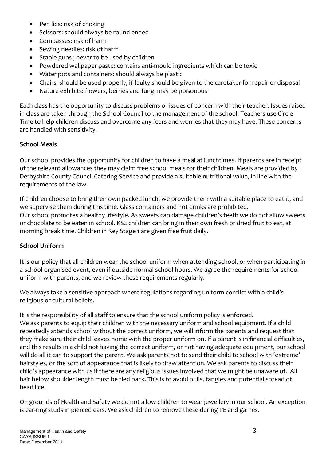- Pen lids: risk of choking
- Scissors: should always be round ended
- Compasses: risk of harm
- Sewing needles: risk of harm
- Staple guns; never to be used by children
- Powdered wallpaper paste: contains anti-mould ingredients which can be toxic
- Water pots and containers: should always be plastic
- Chairs: should be used properly; if faulty should be given to the caretaker for repair or disposal
- Nature exhibits: flowers, berries and fungi may be poisonous

Each class has the opportunity to discuss problems or issues of concern with their teacher. Issues raised in class are taken through the School Council to the management of the school. Teachers use Circle Time to help children discuss and overcome any fears and worries that they may have. These concerns are handled with sensitivity.

## **School Meals**

Our school provides the opportunity for children to have a meal at lunchtimes. If parents are in receipt of the relevant allowances they may claim free school meals for their children. Meals are provided by Derbyshire County Council Catering Service and provide a suitable nutritional value, in line with the requirements of the law.

If children choose to bring their own packed lunch, we provide them with a suitable place to eat it, and we supervise them during this time. Glass containers and hot drinks are prohibited. Our school promotes a healthy lifestyle. As sweets can damage children's teeth we do not allow sweets or chocolate to be eaten in school. KS2 children can bring in their own fresh or dried fruit to eat, at morning break time. Children in Key Stage 1 are given free fruit daily.

## **School Uniform**

It is our policy that all children wear the school uniform when attending school, or when participating in a school-organised event, even if outside normal school hours. We agree the requirements for school uniform with parents, and we review these requirements regularly.

We always take a sensitive approach where regulations regarding uniform conflict with a child's religious or cultural beliefs.

It is the responsibility of all staff to ensure that the school uniform policy is enforced. We ask parents to equip their children with the necessary uniform and school equipment. If a child repeatedly attends school without the correct uniform, we will inform the parents and request that they make sure their child leaves home with the proper uniform on. If a parent is in financial difficulties, and this results in a child not having the correct uniform, or not having adequate equipment, our school will do all it can to support the parent. We ask parents not to send their child to school with 'extreme' hairstyles, or the sort of appearance that is likely to draw attention. We ask parents to discuss their child's appearance with us if there are any religious issues involved that we might be unaware of. All hair below shoulder length must be tied back. This is to avoid pulls, tangles and potential spread of head lice.

On grounds of Health and Safety we do not allow children to wear jewellery in our school. An exception is ear-ring studs in pierced ears. We ask children to remove these during PE and games.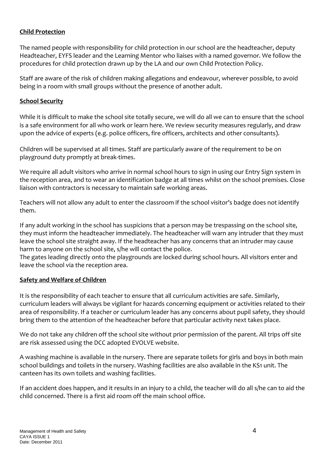## **Child Protection**

The named people with responsibility for child protection in our school are the headteacher, deputy Headteacher, EYFS leader and the Learning Mentor who liaises with a named governor. We follow the procedures for child protection drawn up by the LA and our own Child Protection Policy.

Staff are aware of the risk of children making allegations and endeavour, wherever possible, to avoid being in a room with small groups without the presence of another adult.

## **School Security**

While it is difficult to make the school site totally secure, we will do all we can to ensure that the school is a safe environment for all who work or learn here. We review security measures regularly, and draw upon the advice of experts (e.g. police officers, fire officers, architects and other consultants).

Children will be supervised at all times. Staff are particularly aware of the requirement to be on playground duty promptly at break-times.

We require all adult visitors who arrive in normal school hours to sign in using our Entry Sign system in the reception area, and to wear an identification badge at all times whilst on the school premises. Close liaison with contractors is necessary to maintain safe working areas.

Teachers will not allow any adult to enter the classroom if the school visitor's badge does not identify them.

If any adult working in the school has suspicions that a person may be trespassing on the school site, they must inform the headteacher immediately. The headteacher will warn any intruder that they must leave the school site straight away. If the headteacher has any concerns that an intruder may cause harm to anyone on the school site, s/he will contact the police.

The gates leading directly onto the playgrounds are locked during school hours. All visitors enter and leave the school via the reception area.

## **Safety and Welfare of Children**

It is the responsibility of each teacher to ensure that all curriculum activities are safe. Similarly, curriculum leaders will always be vigilant for hazards concerning equipment or activities related to their area of responsibility. If a teacher or curriculum leader has any concerns about pupil safety, they should bring them to the attention of the headteacher before that particular activity next takes place.

We do not take any children off the school site without prior permission of the parent. All trips off site are risk assessed using the DCC adopted EVOLVE website.

A washing machine is available in the nursery. There are separate toilets for girls and boys in both main school buildings and toilets in the nursery. Washing facilities are also available in the KS1 unit. The canteen has its own toilets and washing facilities.

If an accident does happen, and it results in an injury to a child, the teacher will do all s/he can to aid the child concerned. There is a first aid room off the main school office.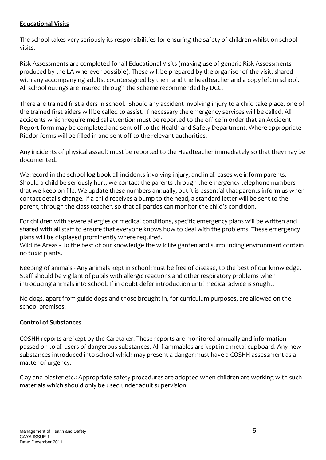## **Educational Visits**

The school takes very seriously its responsibilities for ensuring the safety of children whilst on school visits.

Risk Assessments are completed for all Educational Visits (making use of generic Risk Assessments produced by the LA wherever possible). These will be prepared by the organiser of the visit, shared with any accompanying adults, countersigned by them and the headteacher and a copy left in school. All school outings are insured through the scheme recommended by DCC.

There are trained first aiders in school. Should any accident involving injury to a child take place, one of the trained first aiders will be called to assist. If necessary the emergency services will be called. All accidents which require medical attention must be reported to the office in order that an Accident Report form may be completed and sent off to the Health and Safety Department. Where appropriate Riddor forms will be filled in and sent off to the relevant authorities.

Any incidents of physical assault must be reported to the Headteacher immediately so that they may be documented.

We record in the school log book all incidents involving injury, and in all cases we inform parents. Should a child be seriously hurt, we contact the parents through the emergency telephone numbers that we keep on file. We update these numbers annually, but it is essential that parents inform us when contact details change. If a child receives a bump to the head, a standard letter will be sent to the parent, through the class teacher, so that all parties can monitor the child's condition.

For children with severe allergies or medical conditions, specific emergency plans will be written and shared with all staff to ensure that everyone knows how to deal with the problems. These emergency plans will be displayed prominently where required.

Wildlife Areas - To the best of our knowledge the wildlife garden and surrounding environment contain no toxic plants.

Keeping of animals - Any animals kept in school must be free of disease, to the best of our knowledge. Staff should be vigilant of pupils with allergic reactions and other respiratory problems when introducing animals into school. If in doubt defer introduction until medical advice is sought.

No dogs, apart from guide dogs and those brought in, for curriculum purposes, are allowed on the school premises.

## **Control of Substances**

COSHH reports are kept by the Caretaker. These reports are monitored annually and information passed on to all users of dangerous substances. All flammables are kept in a metal cupboard. Any new substances introduced into school which may present a danger must have a COSHH assessment as a matter of urgency.

Clay and plaster etc.: Appropriate safety procedures are adopted when children are working with such materials which should only be used under adult supervision.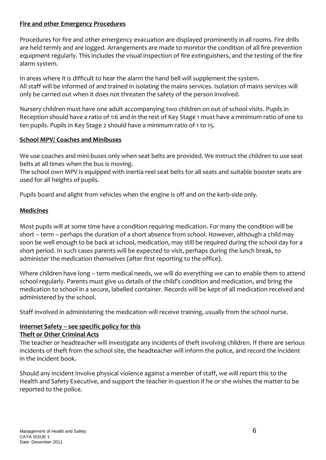## **Fire and other Emergency Procedures**

Procedures for fire and other emergency evacuation are displayed prominently in all rooms. Fire drills are held termly and are logged. Arrangements are made to monitor the condition of all fire prevention equipment regularly. This includes the visual inspection of fire extinguishers, and the testing of the fire alarm system.

In areas where it is difficult to hear the alarm the hand bell will supplement the system. All staff will be informed of and trained in isolating the mains services. Isolation of mains services will only be carried out when it does not threaten the safety of the person involved.

Nursery children must have one adult accompanying two children on out of school visits. Pupils in Reception should have a ratio of 1:6 and in the rest of Key Stage 1 must have a minimum ratio of one to ten pupils. Pupils in Key Stage 2 should have a minimum ratio of 1 to 15.

## **School MPV/ Coaches and Minibuses**

We use coaches and mini-buses only when seat belts are provided. We instruct the children to use seat belts at all times when the bus is moving.

The school own MPV is equipped with inertia reel seat belts for all seats and suitable booster seats are used for all heights of pupils.

Pupils board and alight from vehicles when the engine is off and on the kerb-side only.

## **Medicines**

Most pupils will at some time have a condition requiring medication. For many the condition will be short – term – perhaps the duration of a short absence from school. However, although a child may soon be well enough to be back at school, medication, may still be required during the school day for a short period. In such cases parents will be expected to visit, perhaps during the lunch break, to administer the medication themselves (after first reporting to the office).

Where children have long – term medical needs, we will do everything we can to enable them to attend school regularly. Parents must give us details of the child's condition and medication, and bring the medication to school in a secure, labelled container. Records will be kept of all medication received and administered by the school.

Staff involved in administering the medication will receive training, usually from the school nurse.

## **Internet Safety – see specific policy for this**

## **Theft or Other Criminal Acts**

The teacher or headteacher will investigate any incidents of theft involving children. If there are serious incidents of theft from the school site, the headteacher will inform the police, and record the incident in the incident book.

Should any incident involve physical violence against a member of staff, we will report this to the Health and Safety Executive, and support the teacher in question if he or she wishes the matter to be reported to the police.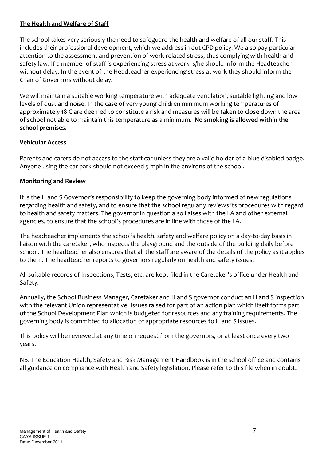## **The Health and Welfare of Staff**

The school takes very seriously the need to safeguard the health and welfare of all our staff. This includes their professional development, which we address in out CPD policy. We also pay particular attention to the assessment and prevention of work-related stress, thus complying with health and safety law. If a member of staff is experiencing stress at work, s/he should inform the Headteacher without delay. In the event of the Headteacher experiencing stress at work they should inform the Chair of Governors without delay.

We will maintain a suitable working temperature with adequate ventilation, suitable lighting and low levels of dust and noise. In the case of very young children minimum working temperatures of approximately 18 C are deemed to constitute a risk and measures will be taken to close down the area of school not able to maintain this temperature as a minimum. **No smoking is allowed within the school premises.** 

## **Vehicular Access**

Parents and carers do not access to the staff car unless they are a valid holder of a blue disabled badge. Anyone using the car park should not exceed 5 mph in the environs of the school.

## **Monitoring and Review**

It is the H and S Governor's responsibility to keep the governing body informed of new regulations regarding health and safety, and to ensure that the school regularly reviews its procedures with regard to health and safety matters. The governor in question also liaises with the LA and other external agencies, to ensure that the school's procedures are in line with those of the LA.

The headteacher implements the school's health, safety and welfare policy on a day-to-day basis in liaison with the caretaker, who inspects the playground and the outside of the building daily before school. The headteacher also ensures that all the staff are aware of the details of the policy as it applies to them. The headteacher reports to governors regularly on health and safety issues.

All suitable records of Inspections, Tests, etc. are kept filed in the Caretaker's office under Health and Safety.

Annually, the School Business Manager, Caretaker and H and S governor conduct an H and S inspection with the relevant Union representative. Issues raised for part of an action plan which itself forms part of the School Development Plan which is budgeted for resources and any training requirements. The governing body is committed to allocation of appropriate resources to H and S issues.

This policy will be reviewed at any time on request from the governors, or at least once every two years.

NB. The Education Health, Safety and Risk Management Handbook is in the school office and contains all guidance on compliance with Health and Safety legislation. Please refer to this file when in doubt.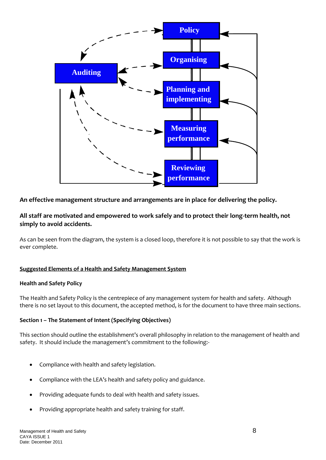

## **An effective management structure and arrangements are in place for delivering the policy.**

## **All staff are motivated and empowered to work safely and to protect their long-term health, not simply to avoid accidents.**

As can be seen from the diagram, the system is a closed loop, therefore it is not possible to say that the work is ever complete.

#### **Suggested Elements of a Health and Safety Management System**

#### **Health and Safety Policy**

The Health and Safety Policy is the centrepiece of any management system for health and safety. Although there is no set layout to this document, the accepted method, is for the document to have three main sections.

#### **Section 1 – The Statement of Intent (Specifying Objectives)**

This section should outline the establishment's overall philosophy in relation to the management of health and safety. It should include the management's commitment to the following:-

- Compliance with health and safety legislation.
- Compliance with the LEA's health and safety policy and guidance.
- Providing adequate funds to deal with health and safety issues.
- Providing appropriate health and safety training for staff.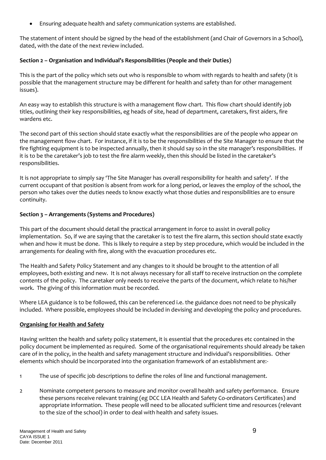Ensuring adequate health and safety communication systems are established.

The statement of intent should be signed by the head of the establishment (and Chair of Governors in a School), dated, with the date of the next review included.

#### **Section 2 – Organisation and Individual's Responsibilities (People and their Duties)**

This is the part of the policy which sets out who is responsible to whom with regards to health and safety (it is possible that the management structure may be different for health and safety than for other management issues).

An easy way to establish this structure is with a management flow chart. This flow chart should identify job titles, outlining their key responsibilities, eg heads of site, head of department, caretakers, first aiders, fire wardens etc.

The second part of this section should state exactly what the responsibilities are of the people who appear on the management flow chart. For instance, if it is to be the responsibilities of the Site Manager to ensure that the fire fighting equipment is to be inspected annually, then it should say so in the site manager's responsibilities. If it is to be the caretaker's job to test the fire alarm weekly, then this should be listed in the caretaker's responsibilities.

It is not appropriate to simply say 'The Site Manager has overall responsibility for health and safety'. If the current occupant of that position is absent from work for a long period, or leaves the employ of the school, the person who takes over the duties needs to know exactly what those duties and responsibilities are to ensure continuity.

#### **Section 3 – Arrangements (Systems and Procedures)**

This part of the document should detail the practical arrangement in force to assist in overall policy implementation. So, if we are saying that the caretaker is to test the fire alarm, this section should state exactly when and how it must be done. This is likely to require a step by step procedure, which would be included in the arrangements for dealing with fire, along with the evacuation procedures etc.

The Health and Safety Policy Statement and any changes to it should be brought to the attention of all employees, both existing and new. It is not always necessary for all staff to receive instruction on the complete contents of the policy. The caretaker only needs to receive the parts of the document, which relate to his/her work. The giving of this information must be recorded.

Where LEA guidance is to be followed, this can be referenced i.e. the guidance does not need to be physically included. Where possible, employees should be included in devising and developing the policy and procedures.

## **Organising for Health and Safety**

Having written the health and safety policy statement, it is essential that the procedures etc contained in the policy document be implemented as required. Some of the organisational requirements should already be taken care of in the policy, in the health and safety management structure and individual's responsibilities. Other elements which should be incorporated into the organisation framework of an establishment are:-

- 1 The use of specific job descriptions to define the roles of line and functional management.
- 2 Nominate competent persons to measure and monitor overall health and safety performance. Ensure these persons receive relevant training (eg DCC LEA Health and Safety Co-ordinators Certificates) and appropriate information. These people will need to be allocated sufficient time and resources (relevant to the size of the school) in order to deal with health and safety issues.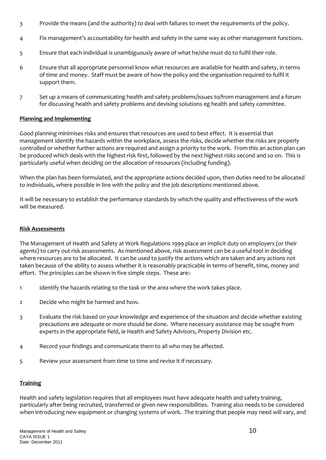- 3 Provide the means (and the authority) to deal with failures to meet the requirements of the policy.
- 4 Fix management's accountability for health and safety in the same way as other management functions.
- 5 Ensure that each individual is unambiguously aware of what he/she must do to fulfil their role.
- 6 Ensure that all appropriate personnel know what resources are available for health and safety, in terms of time and money. Staff must be aware of how the policy and the organisation required to fulfil it support them.
- 7 Set up a means of communicating health and safety problems/issues to/from management and a forum for discussing health and safety problems and devising solutions eg health and safety committee.

#### **Planning and Implementing**

Good planning minimises risks and ensures that resources are used to best effect. It is essential that management identify the hazards within the workplace, assess the risks, decide whether the risks are properly controlled or whether further actions are required and assign a priority to the work. From this an action plan can be produced which deals with the highest risk first, followed by the next highest risks second and so on. This is particularly useful when deciding on the allocation of resources (including funding).

When the plan has been formulated, and the appropriate actions decided upon, then duties need to be allocated to individuals, where possible in line with the policy and the job descriptions mentioned above.

It will be necessary to establish the performance standards by which the quality and effectiveness of the work will be measured.

#### **Risk Assessments**

The Management of Health and Safety at Work Regulations 1999 place an implicit duty on employers (or their agents) to carry out risk assessments. As mentioned above, risk assessment can be a useful tool in deciding where resources are to be allocated. It can be used to justify the actions which are taken and any actions not taken because of the ability to assess whether it is reasonably practicable in terms of benefit, time, money and effort. The principles can be shown in five simple steps. These are:-

- 1 Identify the hazards relating to the task or the area where the work takes place.
- 2 Decide who might be harmed and how.
- 3 Evaluate the risk based on your knowledge and experience of the situation and decide whether existing precautions are adequate or more should be done. Where necessary assistance may be sought from experts in the appropriate field, ie Health and Safety Advisors, Property Division etc.
- 4 Record your findings and communicate them to all who may be affected.
- 5 Review your assessment from time to time and revise it if necessary.

#### **Training**

Health and safety legislation requires that all employees must have adequate health and safety training, particularly after being recruited, transferred or given new responsibilities. Training also needs to be considered when introducing new equipment or changing systems of work. The training that people may need will vary, and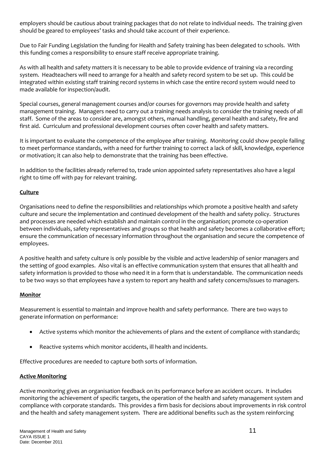employers should be cautious about training packages that do not relate to individual needs. The training given should be geared to employees' tasks and should take account of their experience.

Due to Fair Funding Legislation the funding for Health and Safety training has been delegated to schools. With this funding comes a responsibility to ensure staff receive appropriate training.

As with all health and safety matters it is necessary to be able to provide evidence of training via a recording system. Headteachers will need to arrange for a health and safety record system to be set up. This could be integrated within existing staff training record systems in which case the entire record system would need to made available for inspection/audit.

Special courses, general management courses and/or courses for governors may provide health and safety management training. Managers need to carry out a training needs analysis to consider the training needs of all staff. Some of the areas to consider are, amongst others, manual handling, general health and safety, fire and first aid. Curriculum and professional development courses often cover health and safety matters.

It is important to evaluate the competence of the employee after training. Monitoring could show people failing to meet performance standards, with a need for further training to correct a lack of skill, knowledge, experience or motivation; it can also help to demonstrate that the training has been effective.

In addition to the facilities already referred to, trade union appointed safety representatives also have a legal right to time off with pay for relevant training.

## **Culture**

Organisations need to define the responsibilities and relationships which promote a positive health and safety culture and secure the implementation and continued development of the health and safety policy. Structures and processes are needed which establish and maintain control in the organisation; promote co-operation between individuals, safety representatives and groups so that health and safety becomes a collaborative effort; ensure the communication of necessary information throughout the organisation and secure the competence of employees.

A positive health and safety culture is only possible by the visible and active leadership of senior managers and the setting of good examples. Also vital is an effective communication system that ensures that all health and safety information is provided to those who need it in a form that is understandable. The communication needs to be two ways so that employees have a system to report any health and safety concerns/issues to managers.

## **Monitor**

Measurement is essential to maintain and improve health and safety performance. There are two ways to generate information on performance:

- Active systems which monitor the achievements of plans and the extent of compliance with standards;
- Reactive systems which monitor accidents, ill health and incidents.

Effective procedures are needed to capture both sorts of information.

## **Active Monitoring**

Active monitoring gives an organisation feedback on its performance before an accident occurs. It includes monitoring the achievement of specific targets, the operation of the health and safety management system and compliance with corporate standards. This provides a firm basis for decisions about improvements in risk control and the health and safety management system. There are additional benefits such as the system reinforcing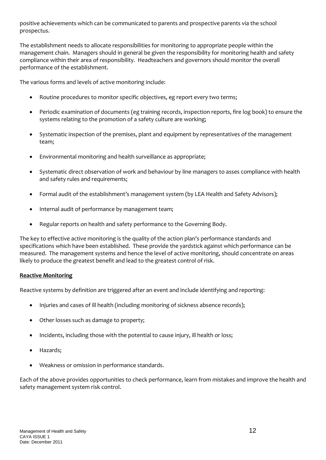positive achievements which can be communicated to parents and prospective parents via the school prospectus.

The establishment needs to allocate responsibilities for monitoring to appropriate people within the management chain. Managers should in general be given the responsibility for monitoring health and safety compliance within their area of responsibility. Headteachers and governors should monitor the overall performance of the establishment.

The various forms and levels of active monitoring include:

- Routine procedures to monitor specific objectives, eg report every two terms;
- Periodic examination of documents (eg training records, inspection reports, fire log book) to ensure the systems relating to the promotion of a safety culture are working;
- Systematic inspection of the premises, plant and equipment by representatives of the management team;
- Environmental monitoring and health surveillance as appropriate;
- Systematic direct observation of work and behaviour by line managers to asses compliance with health and safety rules and requirements;
- Formal audit of the establishment's management system (by LEA Health and Safety Advisors);
- Internal audit of performance by management team;
- Regular reports on health and safety performance to the Governing Body.

The key to effective active monitoring is the quality of the action plan's performance standards and specifications which have been established. These provide the yardstick against which performance can be measured. The management systems and hence the level of active monitoring, should concentrate on areas likely to produce the greatest benefit and lead to the greatest control of risk.

#### **Reactive Monitoring**

Reactive systems by definition are triggered after an event and include identifying and reporting:

- Injuries and cases of ill health (including monitoring of sickness absence records);
- Other losses such as damage to property;
- Incidents, including those with the potential to cause injury, ill health or loss;
- Hazards;
- Weakness or omission in performance standards.

Each of the above provides opportunities to check performance, learn from mistakes and improve the health and safety management system risk control.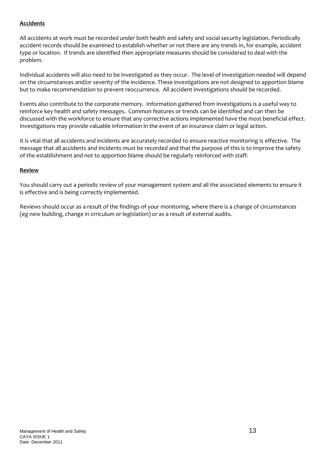#### **Accidents**

All accidents at work must be recorded under both health and safety and social security legislation. Periodically accident records should be examined to establish whether or not there are any trends in, for example, accident type or location. If trends are identified then appropriate measures should be considered to deal with the problem.

Individual accidents will also need to be investigated as they occur. The level of investigation needed will depend on the circumstances and/or severity of the incidence. These investigations are not designed to apportion blame but to make recommendation to prevent reoccurrence. All accident investigations should be recorded.

Events also contribute to the corporate memory. Information gathered from investigations is a useful way to reinforce key health and safety messages. Common features or trends can be identified and can then be discussed with the workforce to ensure that any corrective actions implemented have the most beneficial effect. Investigations may provide valuable information in the event of an insurance claim or legal action.

It is vital that all accidents and incidents are accurately recorded to ensure reactive monitoring is effective. The message that all accidents and incidents must be recorded and that the purpose of this is to improve the safety of the establishment and not to apportion blame should be regularly reinforced with staff.

#### **Review**

You should carry out a periodic review of your management system and all the associated elements to ensure it is effective and is being correctly implemented.

Reviews should occur as a result of the findings of your monitoring, where there is a change of circumstances (eg new building, change in crriculum or legislation) or as a result of external audits.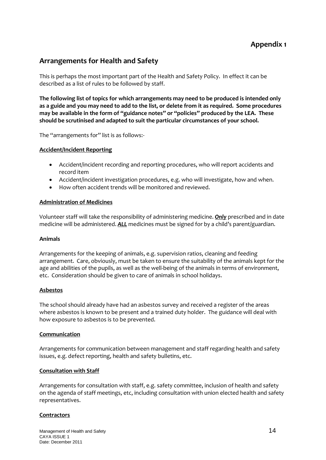## **Appendix 1**

## **Arrangements for Health and Safety**

This is perhaps the most important part of the Health and Safety Policy. In effect it can be described as a list of rules to be followed by staff.

**The following list of topics for which arrangements may need to be produced is intended only as a guide and you may need to add to the list, or delete from it as required. Some procedures may be available in the form of "guidance notes" or "policies" produced by the LEA. These should be scrutinised and adapted to suit the particular circumstances of your school.**

The "arrangements for" list is as follows:-

#### **Accident/Incident Reporting**

- Accident/incident recording and reporting procedures, who will report accidents and record item
- Accident/incident investigation procedures, e.g. who will investigate, how and when.
- How often accident trends will be monitored and reviewed.

#### **Administration of Medicines**

Volunteer staff will take the responsibility of administering medicine. *Only* prescribed and in date medicine will be administered. *ALL* medicines must be signed for by a child's parent/guardian.

#### **Animals**

Arrangements for the keeping of animals, e.g. supervision ratios, cleaning and feeding arrangement. Care, obviously, must be taken to ensure the suitability of the animals kept for the age and abilities of the pupils, as well as the well-being of the animals in terms of environment, etc. Consideration should be given to care of animals in school holidays.

#### **Asbestos**

The school should already have had an asbestos survey and received a register of the areas where asbestos is known to be present and a trained duty holder. The guidance will deal with how exposure to asbestos is to be prevented.

#### **Communication**

Arrangements for communication between management and staff regarding health and safety issues, e.g. defect reporting, health and safety bulletins, etc.

#### **Consultation with Staff**

Arrangements for consultation with staff, e.g. safety committee, inclusion of health and safety on the agenda of staff meetings, etc, including consultation with union elected health and safety representatives.

#### **Contractors**

Management of Health and Safety 14 and  $\frac{14}{14}$ CAYA ISSUE 1 Date: December 2011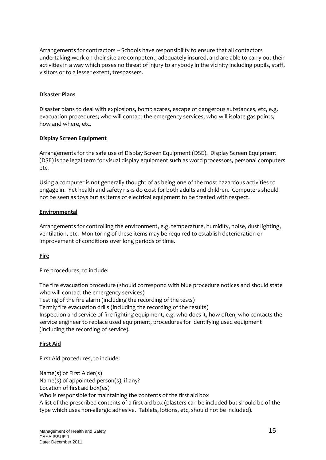Arrangements for contractors – Schools have responsibility to ensure that all contactors undertaking work on their site are competent, adequately insured, and are able to carry out their activities in a way which poses no threat of injury to anybody in the vicinity including pupils, staff, visitors or to a lesser extent, trespassers.

#### **Disaster Plans**

Disaster plans to deal with explosions, bomb scares, escape of dangerous substances, etc, e.g. evacuation procedures; who will contact the emergency services, who will isolate gas points, how and where, etc.

#### **Display Screen Equipment**

Arrangements for the safe use of Display Screen Equipment (DSE). Display Screen Equipment (DSE) is the legal term for visual display equipment such as word processors, personal computers etc.

Using a computer is not generally thought of as being one of the most hazardous activities to engage in. Yet health and safety risks do exist for both adults and children. Computers should not be seen as toys but as items of electrical equipment to be treated with respect.

#### **Environmental**

Arrangements for controlling the environment, e.g. temperature, humidity, noise, dust lighting, ventilation, etc. Monitoring of these items may be required to establish deterioration or improvement of conditions over long periods of time.

#### **Fire**

Fire procedures, to include:

The fire evacuation procedure (should correspond with blue procedure notices and should state who will contact the emergency services) Testing of the fire alarm (including the recording of the tests) Termly fire evacuation drills (including the recording of the results) Inspection and service of fire fighting equipment, e.g. who does it, how often, who contacts the

service engineer to replace used equipment, procedures for identifying used equipment (including the recording of service).

#### **First Aid**

First Aid procedures, to include:

Name(s) of First Aider(s) Name(s) of appointed person(s), if any? Location of first aid box(es) Who is responsible for maintaining the contents of the first aid box A list of the prescribed contents of a first aid box (plasters can be included but should be of the type which uses non-allergic adhesive. Tablets, lotions, etc, should not be included).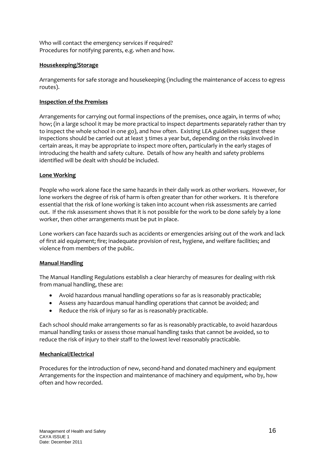Who will contact the emergency services if required? Procedures for notifying parents, e.g. when and how.

#### **Housekeeping/Storage**

Arrangements for safe storage and housekeeping (including the maintenance of access to egress routes).

#### **Inspection of the Premises**

Arrangements for carrying out formal inspections of the premises, once again, in terms of who; how; (in a large school it may be more practical to inspect departments separately rather than try to inspect the whole school in one go), and how often. Existing LEA guidelines suggest these inspections should be carried out at least 3 times a year but, depending on the risks involved in certain areas, it may be appropriate to inspect more often, particularly in the early stages of introducing the health and safety culture. Details of how any health and safety problems identified will be dealt with should be included.

#### **Lone Working**

People who work alone face the same hazards in their daily work as other workers. However, for lone workers the degree of risk of harm is often greater than for other workers. It is therefore essential that the risk of lone working is taken into account when risk assessments are carried out. If the risk assessment shows that it is not possible for the work to be done safely by a lone worker, then other arrangements must be put in place.

Lone workers can face hazards such as accidents or emergencies arising out of the work and lack of first aid equipment; fire; inadequate provision of rest, hygiene, and welfare facilities; and violence from members of the public.

#### **Manual Handling**

The Manual Handling Regulations establish a clear hierarchy of measures for dealing with risk from manual handling, these are:

- Avoid hazardous manual handling operations so far as is reasonably practicable;
- Assess any hazardous manual handling operations that cannot be avoided; and
- Reduce the risk of injury so far as is reasonably practicable.

Each school should make arrangements so far as is reasonably practicable, to avoid hazardous manual handling tasks or assess those manual handling tasks that cannot be avoided, so to reduce the risk of injury to their staff to the lowest level reasonably practicable.

#### **Mechanical/Electrical**

Procedures for the introduction of new, second-hand and donated machinery and equipment Arrangements for the inspection and maintenance of machinery and equipment, who by, how often and how recorded.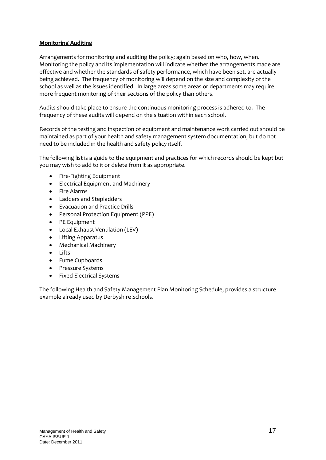#### **Monitoring Auditing**

Arrangements for monitoring and auditing the policy; again based on who, how, when. Monitoring the policy and its implementation will indicate whether the arrangements made are effective and whether the standards of safety performance, which have been set, are actually being achieved. The frequency of monitoring will depend on the size and complexity of the school as well as the issues identified. In large areas some areas or departments may require more frequent monitoring of their sections of the policy than others.

Audits should take place to ensure the continuous monitoring process is adhered to. The frequency of these audits will depend on the situation within each school.

Records of the testing and inspection of equipment and maintenance work carried out should be maintained as part of your health and safety management system documentation, but do not need to be included in the health and safety policy itself.

The following list is a guide to the equipment and practices for which records should be kept but you may wish to add to it or delete from it as appropriate.

- Fire-Fighting Equipment
- Electrical Equipment and Machinery
- Fire Alarms
- Ladders and Stepladders
- Evacuation and Practice Drills
- Personal Protection Equipment (PPE)
- PE Equipment
- Local Exhaust Ventilation (LEV)
- Lifting Apparatus
- Mechanical Machinery
- Lifts
- Fume Cupboards
- Pressure Systems
- Fixed Electrical Systems

The following Health and Safety Management Plan Monitoring Schedule, provides a structure example already used by Derbyshire Schools.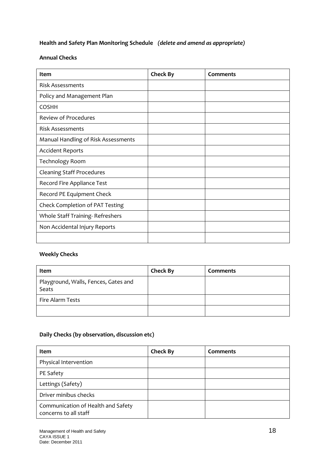## **Health and Safety Plan Monitoring Schedule** *(delete and amend as appropriate)*

#### **Annual Checks**

| <b>Item</b>                         | <b>Check By</b> | Comments |
|-------------------------------------|-----------------|----------|
| <b>Risk Assessments</b>             |                 |          |
| Policy and Management Plan          |                 |          |
| <b>COSHH</b>                        |                 |          |
| <b>Review of Procedures</b>         |                 |          |
| <b>Risk Assessments</b>             |                 |          |
| Manual Handling of Risk Assessments |                 |          |
| <b>Accident Reports</b>             |                 |          |
| <b>Technology Room</b>              |                 |          |
| <b>Cleaning Staff Procedures</b>    |                 |          |
| Record Fire Appliance Test          |                 |          |
| Record PE Equipment Check           |                 |          |
| Check Completion of PAT Testing     |                 |          |
| Whole Staff Training-Refreshers     |                 |          |
| Non Accidental Injury Reports       |                 |          |
|                                     |                 |          |

## **Weekly Checks**

| Item                                          | <b>Check By</b> | <b>Comments</b> |
|-----------------------------------------------|-----------------|-----------------|
| Playground, Walls, Fences, Gates and<br>Seats |                 |                 |
| Fire Alarm Tests                              |                 |                 |
|                                               |                 |                 |

## **Daily Checks (by observation, discussion etc)**

| Item                                                        | <b>Check By</b> | Comments |
|-------------------------------------------------------------|-----------------|----------|
| Physical Intervention                                       |                 |          |
| PE Safety                                                   |                 |          |
| Lettings (Safety)                                           |                 |          |
| Driver minibus checks                                       |                 |          |
| Communication of Health and Safety<br>concerns to all staff |                 |          |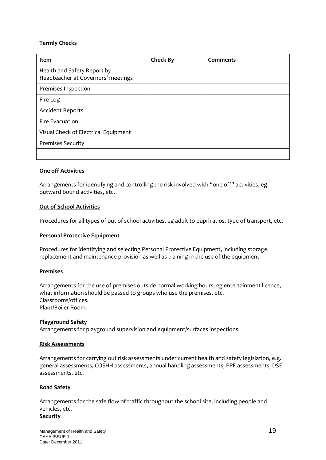#### **Termly Checks**

| Item                                                              | <b>Check By</b> | Comments |
|-------------------------------------------------------------------|-----------------|----------|
| Health and Safety Report by<br>Headteacher at Governors' meetings |                 |          |
| Premises Inspection                                               |                 |          |
| Fire Log                                                          |                 |          |
| <b>Accident Reports</b>                                           |                 |          |
| Fire Evacuation                                                   |                 |          |
| Visual Check of Electrical Equipment                              |                 |          |
| <b>Premises Security</b>                                          |                 |          |
|                                                                   |                 |          |

#### **One off Activities**

Arrangements for identifying and controlling the risk involved with "one off" activities, eg outward bound activities, etc.

#### **Out of School Activities**

Procedures for all types of out of school activities, eg adult to pupil ratios, type of transport, etc.

#### **Personal Protective Equipment**

Procedures for identifying and selecting Personal Protective Equipment, including storage, replacement and maintenance provision as well as training in the use of the equipment.

#### **Premises**

Arrangements for the use of premises outside normal working hours, eg entertainment licence, what information should be passed to groups who use the premises, etc. Classrooms/offices. Plant/Boiler Room.

#### **Playground Safety**

Arrangements for playground supervision and equipment/surfaces inspections.

#### **Risk Assessments**

Arrangements for carrying out risk assessments under current health and safety legislation, e.g. general assessments, COSHH assessments, annual handling assessments, PPE assessments, DSE assessments, etc.

#### **Road Safety**

Arrangements for the safe flow of traffic throughout the school site, including people and vehicles, etc. **Security**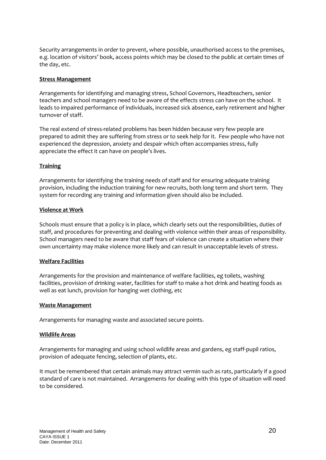Security arrangements in order to prevent, where possible, unauthorised access to the premises, e.g. location of visitors' book, access points which may be closed to the public at certain times of the day, etc.

#### **Stress Management**

Arrangements for identifying and managing stress, School Governors, Headteachers, senior teachers and school managers need to be aware of the effects stress can have on the school. It leads to impaired performance of individuals, increased sick absence, early retirement and higher turnover of staff.

The real extend of stress-related problems has been hidden because very few people are prepared to admit they are suffering from stress or to seek help for it. Few people who have not experienced the depression, anxiety and despair which often accompanies stress, fully appreciate the effect it can have on people's lives.

#### **Training**

Arrangements for identifying the training needs of staff and for ensuring adequate training provision, including the induction training for new recruits, both long term and short term. They system for recording any training and information given should also be included.

#### **Violence at Work**

Schools must ensure that a policy is in place, which clearly sets out the responsibilities, duties of staff, and procedures for preventing and dealing with violence within their areas of responsibility. School managers need to be aware that staff fears of violence can create a situation where their own uncertainty may make violence more likely and can result in unacceptable levels of stress.

#### **Welfare Facilities**

Arrangements for the provision and maintenance of welfare facilities, eg toilets, washing facilities, provision of drinking water, facilities for staff to make a hot drink and heating foods as well as eat lunch, provision for hanging wet clothing, etc

#### **Waste Management**

Arrangements for managing waste and associated secure points.

#### **Wildlife Areas**

Arrangements for managing and using school wildlife areas and gardens, eg staff-pupil ratios, provision of adequate fencing, selection of plants, etc.

It must be remembered that certain animals may attract vermin such as rats, particularly if a good standard of care is not maintained. Arrangements for dealing with this type of situation will need to be considered.